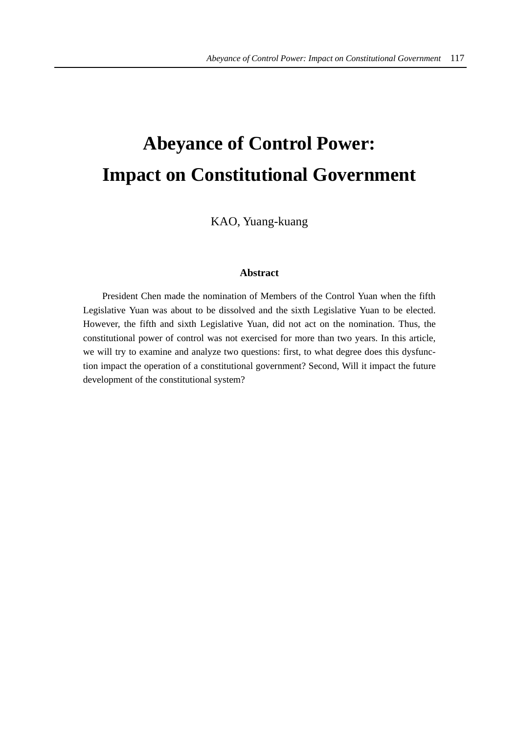# **Abeyance of Control Power: Impact on Constitutional Government**

KAO, Yuang-kuang

## **Abstract**

President Chen made the nomination of Members of the Control Yuan when the fifth Legislative Yuan was about to be dissolved and the sixth Legislative Yuan to be elected. However, the fifth and sixth Legislative Yuan, did not act on the nomination. Thus, the constitutional power of control was not exercised for more than two years. In this article, we will try to examine and analyze two questions: first, to what degree does this dysfunction impact the operation of a constitutional government? Second, Will it impact the future development of the constitutional system?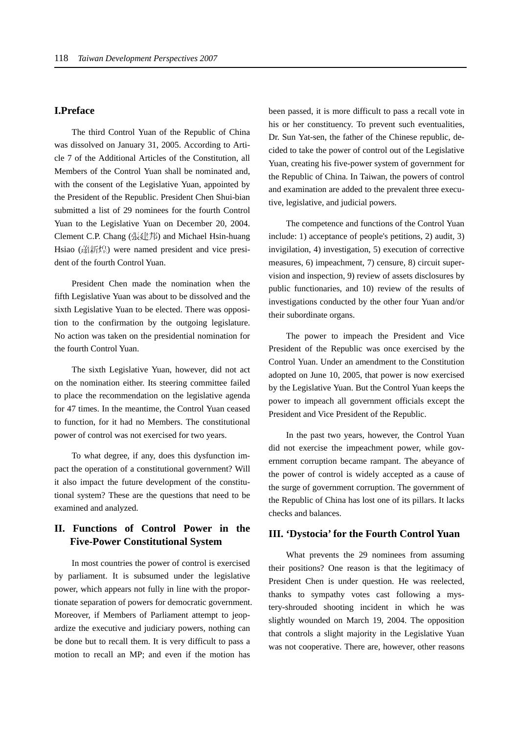## **I.Preface**

The third Control Yuan of the Republic of China was dissolved on January 31, 2005. According to Article 7 of the Additional Articles of the Constitution, all Members of the Control Yuan shall be nominated and, with the consent of the Legislative Yuan, appointed by the President of the Republic. President Chen Shui-bian submitted a list of 29 nominees for the fourth Control Yuan to the Legislative Yuan on December 20, 2004. Clement C.P. Chang (張建邦) and Michael Hsin-huang Hsiao (蕭新煌) were named president and vice president of the fourth Control Yuan.

President Chen made the nomination when the fifth Legislative Yuan was about to be dissolved and the sixth Legislative Yuan to be elected. There was opposition to the confirmation by the outgoing legislature. No action was taken on the presidential nomination for the fourth Control Yuan.

The sixth Legislative Yuan, however, did not act on the nomination either. Its steering committee failed to place the recommendation on the legislative agenda for 47 times. In the meantime, the Control Yuan ceased to function, for it had no Members. The constitutional power of control was not exercised for two years.

To what degree, if any, does this dysfunction impact the operation of a constitutional government? Will it also impact the future development of the constitutional system? These are the questions that need to be examined and analyzed.

# **II. Functions of Control Power in the Five-Power Constitutional System**

In most countries the power of control is exercised by parliament. It is subsumed under the legislative power, which appears not fully in line with the proportionate separation of powers for democratic government. Moreover, if Members of Parliament attempt to jeopardize the executive and judiciary powers, nothing can be done but to recall them. It is very difficult to pass a motion to recall an MP; and even if the motion has

been passed, it is more difficult to pass a recall vote in his or her constituency. To prevent such eventualities, Dr. Sun Yat-sen, the father of the Chinese republic, decided to take the power of control out of the Legislative Yuan, creating his five-power system of government for the Republic of China. In Taiwan, the powers of control and examination are added to the prevalent three executive, legislative, and judicial powers.

The competence and functions of the Control Yuan include: 1) acceptance of people's petitions, 2) audit, 3) invigilation, 4) investigation, 5) execution of corrective measures, 6) impeachment, 7) censure, 8) circuit supervision and inspection, 9) review of assets disclosures by public functionaries, and 10) review of the results of investigations conducted by the other four Yuan and/or their subordinate organs.

The power to impeach the President and Vice President of the Republic was once exercised by the Control Yuan. Under an amendment to the Constitution adopted on June 10, 2005, that power is now exercised by the Legislative Yuan. But the Control Yuan keeps the power to impeach all government officials except the President and Vice President of the Republic.

In the past two years, however, the Control Yuan did not exercise the impeachment power, while government corruption became rampant. The abeyance of the power of control is widely accepted as a cause of the surge of government corruption. The government of the Republic of China has lost one of its pillars. It lacks checks and balances.

## **III. 'Dystocia' for the Fourth Control Yuan**

What prevents the 29 nominees from assuming their positions? One reason is that the legitimacy of President Chen is under question. He was reelected, thanks to sympathy votes cast following a mystery-shrouded shooting incident in which he was slightly wounded on March 19, 2004. The opposition that controls a slight majority in the Legislative Yuan was not cooperative. There are, however, other reasons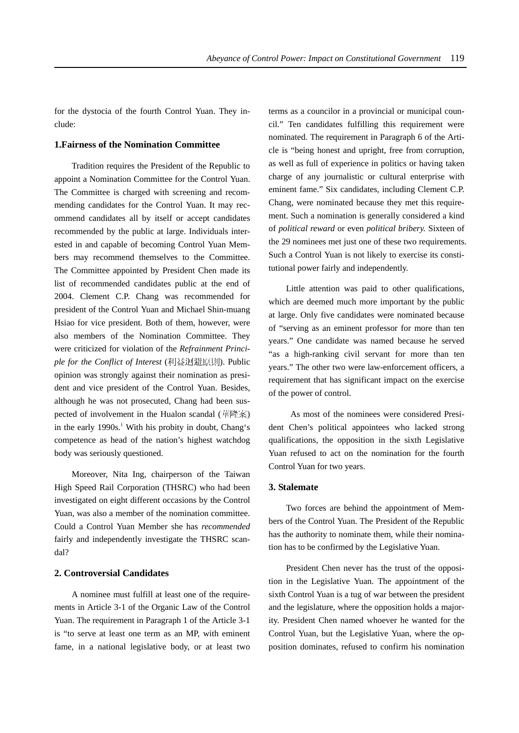for the dystocia of the fourth Control Yuan. They include:

#### **1.Fairness of the Nomination Committee**

Tradition requires the President of the Republic to appoint a Nomination Committee for the Control Yuan. The Committee is charged with screening and recommending candidates for the Control Yuan. It may recommend candidates all by itself or accept candidates recommended by the public at large. Individuals interested in and capable of becoming Control Yuan Members may recommend themselves to the Committee. The Committee appointed by President Chen made its list of recommended candidates public at the end of 2004. Clement C.P. Chang was recommended for president of the Control Yuan and Michael Shin-muang Hsiao for vice president. Both of them, however, were also members of the Nomination Committee. They were criticized for violation of the *Refrainment Principle for the Conflict of Interest* (利益迴避原則). Public opinion was strongly against their nomination as president and vice president of the Control Yuan. Besides, although he was not prosecuted, Chang had been suspected of involvement in the Hualon scandal (華隆案) in the early 1990s.<sup>i</sup> With his probity in doubt, Chang's competence as head of the nation's highest watchdog body was seriously questioned.

Moreover, Nita Ing, chairperson of the Taiwan High Speed Rail Corporation (THSRC) who had been investigated on eight different occasions by the Control Yuan, was also a member of the nomination committee. Could a Control Yuan Member she has *recommended* fairly and independently investigate the THSRC scandal?

### **2. Controversial Candidates**

A nominee must fulfill at least one of the requirements in Article 3-1 of the Organic Law of the Control Yuan. The requirement in Paragraph 1 of the Article 3-1 is "to serve at least one term as an MP, with eminent fame, in a national legislative body, or at least two terms as a councilor in a provincial or municipal council." Ten candidates fulfilling this requirement were nominated. The requirement in Paragraph 6 of the Article is "being honest and upright, free from corruption, as well as full of experience in politics or having taken charge of any journalistic or cultural enterprise with eminent fame." Six candidates, including Clement C.P. Chang, were nominated because they met this requirement. Such a nomination is generally considered a kind of *political reward* or even *political bribery.* Sixteen of the 29 nominees met just one of these two requirements. Such a Control Yuan is not likely to exercise its constitutional power fairly and independently.

Little attention was paid to other qualifications, which are deemed much more important by the public at large. Only five candidates were nominated because of "serving as an eminent professor for more than ten years." One candidate was named because he served "as a high-ranking civil servant for more than ten years." The other two were law-enforcement officers, a requirement that has significant impact on the exercise of the power of control.

 As most of the nominees were considered President Chen's political appointees who lacked strong qualifications, the opposition in the sixth Legislative Yuan refused to act on the nomination for the fourth Control Yuan for two years.

#### **3. Stalemate**

Two forces are behind the appointment of Members of the Control Yuan. The President of the Republic has the authority to nominate them, while their nomination has to be confirmed by the Legislative Yuan.

President Chen never has the trust of the opposition in the Legislative Yuan. The appointment of the sixth Control Yuan is a tug of war between the president and the legislature, where the opposition holds a majority. President Chen named whoever he wanted for the Control Yuan, but the Legislative Yuan, where the opposition dominates, refused to confirm his nomination